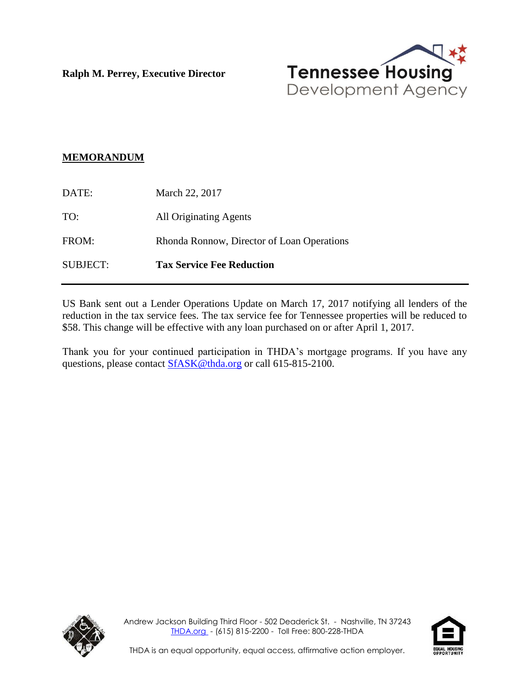**Ralph M. Perrey, Executive Director**



#### **MEMORANDUM**

| SUBJECT: | <b>Tax Service Fee Reduction</b>           |
|----------|--------------------------------------------|
| FROM:    | Rhonda Ronnow, Director of Loan Operations |
| TO:      | <b>All Originating Agents</b>              |
| DATE:    | March 22, 2017                             |

US Bank sent out a Lender Operations Update on March 17, 2017 notifying all lenders of the reduction in the tax service fees. The tax service fee for Tennessee properties will be reduced to \$58. This change will be effective with any loan purchased on or after April 1, 2017.

Thank you for your continued participation in THDA's mortgage programs. If you have any questions, please contact [SfASK@thda.org](mailto:SfASK@thda.org) or call 615-815-2100.